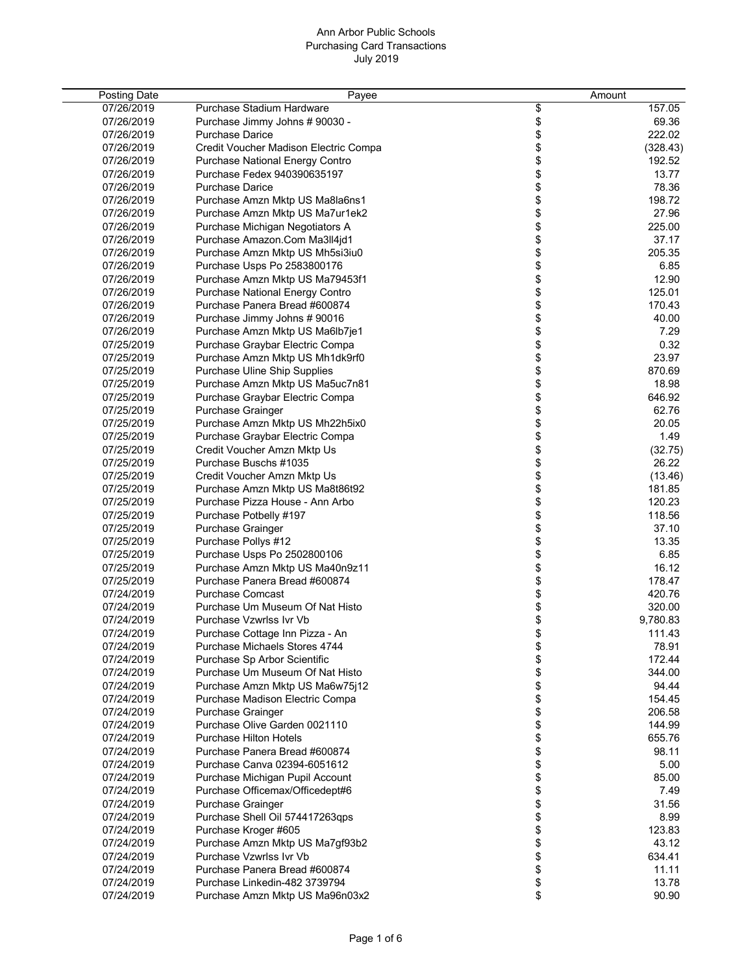| <b>Posting Date</b> | Payee                                  | Amount   |          |
|---------------------|----------------------------------------|----------|----------|
| 07/26/2019          | Purchase Stadium Hardware              | \$       | 157.05   |
| 07/26/2019          | Purchase Jimmy Johns # 90030 -         | \$       | 69.36    |
| 07/26/2019          | <b>Purchase Darice</b>                 | \$       | 222.02   |
| 07/26/2019          | Credit Voucher Madison Electric Compa  | \$       | (328.43) |
| 07/26/2019          | <b>Purchase National Energy Contro</b> | \$       | 192.52   |
| 07/26/2019          | Purchase Fedex 940390635197            | \$       | 13.77    |
| 07/26/2019          | <b>Purchase Darice</b>                 |          | 78.36    |
| 07/26/2019          |                                        | \$<br>\$ | 198.72   |
| 07/26/2019          | Purchase Amzn Mktp US Ma8la6ns1        |          | 27.96    |
| 07/26/2019          | Purchase Amzn Mktp US Ma7ur1ek2        | \$       |          |
|                     | Purchase Michigan Negotiators A        | \$       | 225.00   |
| 07/26/2019          | Purchase Amazon.Com Ma3ll4jd1          | \$       | 37.17    |
| 07/26/2019          | Purchase Amzn Mktp US Mh5si3iu0        | \$       | 205.35   |
| 07/26/2019          | Purchase Usps Po 2583800176            | \$       | 6.85     |
| 07/26/2019          | Purchase Amzn Mktp US Ma79453f1        | \$       | 12.90    |
| 07/26/2019          | <b>Purchase National Energy Contro</b> | \$       | 125.01   |
| 07/26/2019          | Purchase Panera Bread #600874          | \$       | 170.43   |
| 07/26/2019          | Purchase Jimmy Johns # 90016           | \$       | 40.00    |
| 07/26/2019          | Purchase Amzn Mktp US Ma6lb7je1        | \$       | 7.29     |
| 07/25/2019          | Purchase Graybar Electric Compa        | \$       | 0.32     |
| 07/25/2019          | Purchase Amzn Mktp US Mh1dk9rf0        | \$       | 23.97    |
| 07/25/2019          | Purchase Uline Ship Supplies           | \$       | 870.69   |
| 07/25/2019          | Purchase Amzn Mktp US Ma5uc7n81        | \$       | 18.98    |
| 07/25/2019          | Purchase Graybar Electric Compa        | \$       | 646.92   |
| 07/25/2019          | Purchase Grainger                      | \$       | 62.76    |
| 07/25/2019          | Purchase Amzn Mktp US Mh22h5ix0        | \$       | 20.05    |
| 07/25/2019          | Purchase Graybar Electric Compa        | \$       | 1.49     |
| 07/25/2019          | Credit Voucher Amzn Mktp Us            | \$       | (32.75)  |
| 07/25/2019          | Purchase Buschs #1035                  | \$       | 26.22    |
| 07/25/2019          | Credit Voucher Amzn Mktp Us            | \$       | (13.46)  |
| 07/25/2019          | Purchase Amzn Mktp US Ma8t86t92        | \$       | 181.85   |
| 07/25/2019          | Purchase Pizza House - Ann Arbo        | \$       | 120.23   |
| 07/25/2019          | Purchase Potbelly #197                 | \$       | 118.56   |
| 07/25/2019          | Purchase Grainger                      | \$       | 37.10    |
| 07/25/2019          | Purchase Pollys #12                    | \$       | 13.35    |
| 07/25/2019          | Purchase Usps Po 2502800106            | \$       | 6.85     |
| 07/25/2019          | Purchase Amzn Mktp US Ma40n9z11        | \$       | 16.12    |
| 07/25/2019          | Purchase Panera Bread #600874          | \$       | 178.47   |
| 07/24/2019          | <b>Purchase Comcast</b>                | \$       | 420.76   |
| 07/24/2019          | Purchase Um Museum Of Nat Histo        | \$       | 320.00   |
| 07/24/2019          | Purchase Vzwrlss Ivr Vb                | \$       | 9,780.83 |
| 07/24/2019          | Purchase Cottage Inn Pizza - An        | \$       | 111.43   |
| 07/24/2019          | Purchase Michaels Stores 4744          | \$       | 78.91    |
| 07/24/2019          | Purchase Sp Arbor Scientific           | \$       | 172.44   |
| 07/24/2019          | Purchase Um Museum Of Nat Histo        | \$       | 344.00   |
| 07/24/2019          | Purchase Amzn Mktp US Ma6w75j12        | \$       | 94.44    |
| 07/24/2019          | Purchase Madison Electric Compa        | \$       | 154.45   |
| 07/24/2019          | Purchase Grainger                      | \$       | 206.58   |
| 07/24/2019          | Purchase Olive Garden 0021110          | \$       | 144.99   |
| 07/24/2019          | <b>Purchase Hilton Hotels</b>          | \$       | 655.76   |
| 07/24/2019          | Purchase Panera Bread #600874          | \$       | 98.11    |
| 07/24/2019          | Purchase Canva 02394-6051612           | \$       | 5.00     |
| 07/24/2019          | Purchase Michigan Pupil Account        | \$       | 85.00    |
| 07/24/2019          | Purchase Officemax/Officedept#6        | \$       | 7.49     |
| 07/24/2019          | Purchase Grainger                      | \$       | 31.56    |
| 07/24/2019          | Purchase Shell Oil 574417263qps        | \$       | 8.99     |
| 07/24/2019          | Purchase Kroger #605                   | \$       | 123.83   |
| 07/24/2019          | Purchase Amzn Mktp US Ma7gf93b2        | \$       | 43.12    |
| 07/24/2019          | Purchase Vzwrlss Ivr Vb                |          | 634.41   |
|                     |                                        | \$       |          |
| 07/24/2019          | Purchase Panera Bread #600874          | \$       | 11.11    |
| 07/24/2019          | Purchase Linkedin-482 3739794          | \$       | 13.78    |
| 07/24/2019          | Purchase Amzn Mktp US Ma96n03x2        | \$       | 90.90    |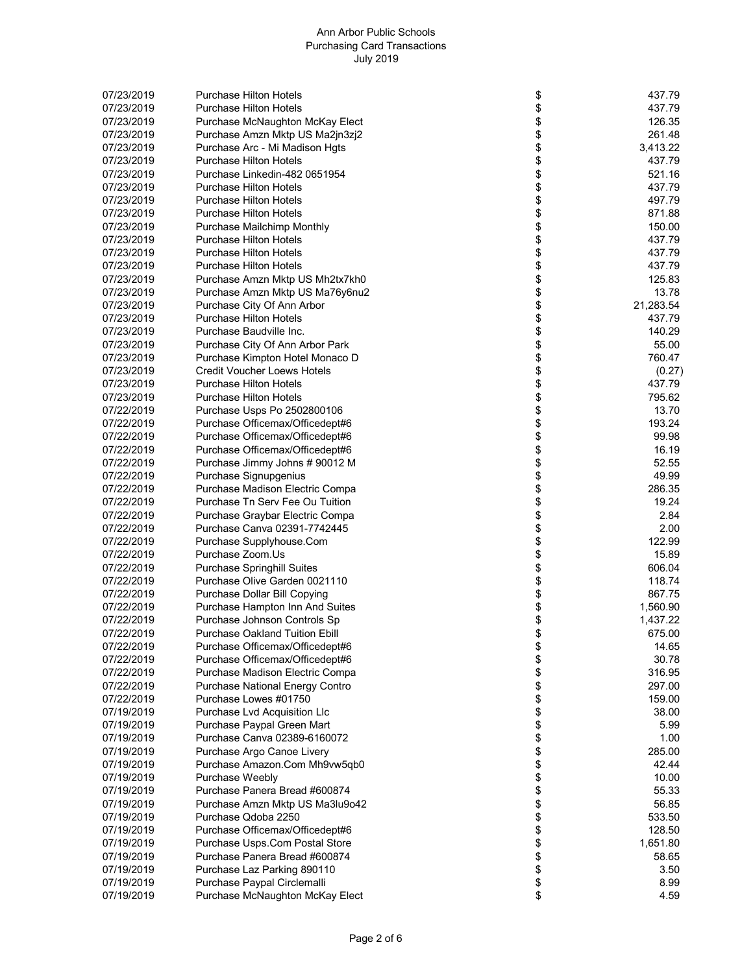| 07/23/2019 | <b>Purchase Hilton Hotels</b>          | \$       | 437.79    |
|------------|----------------------------------------|----------|-----------|
| 07/23/2019 | <b>Purchase Hilton Hotels</b>          | \$       | 437.79    |
| 07/23/2019 | Purchase McNaughton McKay Elect        | \$       | 126.35    |
| 07/23/2019 | Purchase Amzn Mktp US Ma2jn3zj2        | \$       | 261.48    |
| 07/23/2019 | Purchase Arc - Mi Madison Hgts         | \$       | 3,413.22  |
| 07/23/2019 | <b>Purchase Hilton Hotels</b>          | \$       | 437.79    |
| 07/23/2019 | Purchase Linkedin-482 0651954          | \$       | 521.16    |
| 07/23/2019 | <b>Purchase Hilton Hotels</b>          | \$       | 437.79    |
| 07/23/2019 | <b>Purchase Hilton Hotels</b>          | \$       | 497.79    |
| 07/23/2019 | <b>Purchase Hilton Hotels</b>          | \$       | 871.88    |
| 07/23/2019 | <b>Purchase Mailchimp Monthly</b>      | \$       | 150.00    |
| 07/23/2019 | <b>Purchase Hilton Hotels</b>          | \$       | 437.79    |
| 07/23/2019 | <b>Purchase Hilton Hotels</b>          | \$       | 437.79    |
| 07/23/2019 | <b>Purchase Hilton Hotels</b>          | \$       | 437.79    |
| 07/23/2019 | Purchase Amzn Mktp US Mh2tx7kh0        | \$       | 125.83    |
| 07/23/2019 | Purchase Amzn Mktp US Ma76y6nu2        | \$       | 13.78     |
| 07/23/2019 | Purchase City Of Ann Arbor             | \$       | 21,283.54 |
| 07/23/2019 | <b>Purchase Hilton Hotels</b>          | \$       | 437.79    |
| 07/23/2019 | Purchase Baudville Inc.                | \$       | 140.29    |
| 07/23/2019 | Purchase City Of Ann Arbor Park        | \$       | 55.00     |
| 07/23/2019 | Purchase Kimpton Hotel Monaco D        | \$       | 760.47    |
| 07/23/2019 | <b>Credit Voucher Loews Hotels</b>     | \$       | (0.27)    |
| 07/23/2019 | <b>Purchase Hilton Hotels</b>          | \$       | 437.79    |
| 07/23/2019 | <b>Purchase Hilton Hotels</b>          | \$       | 795.62    |
| 07/22/2019 | Purchase Usps Po 2502800106            | \$       | 13.70     |
| 07/22/2019 | Purchase Officemax/Officedept#6        | \$       | 193.24    |
| 07/22/2019 | Purchase Officemax/Officedept#6        | \$       | 99.98     |
| 07/22/2019 | Purchase Officemax/Officedept#6        | \$       | 16.19     |
|            |                                        |          | 52.55     |
| 07/22/2019 | Purchase Jimmy Johns # 90012 M         | \$<br>\$ | 49.99     |
| 07/22/2019 | Purchase Signupgenius                  |          | 286.35    |
| 07/22/2019 | Purchase Madison Electric Compa        | \$       |           |
| 07/22/2019 | Purchase Tn Serv Fee Ou Tuition        | \$       | 19.24     |
| 07/22/2019 | Purchase Graybar Electric Compa        | \$       | 2.84      |
| 07/22/2019 | Purchase Canva 02391-7742445           | \$       | 2.00      |
| 07/22/2019 | Purchase Supplyhouse.Com               | \$       | 122.99    |
| 07/22/2019 | Purchase Zoom.Us                       |          | 15.89     |
| 07/22/2019 | <b>Purchase Springhill Suites</b>      | \$       | 606.04    |
| 07/22/2019 | Purchase Olive Garden 0021110          | \$       | 118.74    |
| 07/22/2019 | Purchase Dollar Bill Copying           | \$       | 867.75    |
| 07/22/2019 | Purchase Hampton Inn And Suites        | \$       | 1,560.90  |
| 07/22/2019 | Purchase Johnson Controls Sp           | \$       | 1,437.22  |
| 07/22/2019 | <b>Purchase Oakland Tuition Ebill</b>  | \$       | 675.00    |
| 07/22/2019 | Purchase Officemax/Officedept#6        | \$       | 14.65     |
| 07/22/2019 | Purchase Officemax/Officedept#6        | \$       | 30.78     |
| 07/22/2019 | Purchase Madison Electric Compa        | \$       | 316.95    |
| 07/22/2019 | <b>Purchase National Energy Contro</b> | \$       | 297.00    |
| 07/22/2019 | Purchase Lowes #01750                  | \$       | 159.00    |
| 07/19/2019 | Purchase Lvd Acquisition Llc           | \$       | 38.00     |
| 07/19/2019 | Purchase Paypal Green Mart             | \$       | 5.99      |
| 07/19/2019 | Purchase Canva 02389-6160072           | \$       | 1.00      |
| 07/19/2019 | Purchase Argo Canoe Livery             | \$       | 285.00    |
| 07/19/2019 | Purchase Amazon.Com Mh9vw5qb0          | \$       | 42.44     |
| 07/19/2019 | Purchase Weebly                        | \$       | 10.00     |
| 07/19/2019 | Purchase Panera Bread #600874          | \$       | 55.33     |
| 07/19/2019 | Purchase Amzn Mktp US Ma3lu9o42        | \$       | 56.85     |
| 07/19/2019 | Purchase Qdoba 2250                    | \$       | 533.50    |
| 07/19/2019 | Purchase Officemax/Officedept#6        | \$       | 128.50    |
| 07/19/2019 | Purchase Usps.Com Postal Store         | \$       | 1,651.80  |
| 07/19/2019 | Purchase Panera Bread #600874          | \$       | 58.65     |
| 07/19/2019 | Purchase Laz Parking 890110            | \$       | 3.50      |
| 07/19/2019 | Purchase Paypal Circlemalli            | \$       | 8.99      |
| 07/19/2019 | Purchase McNaughton McKay Elect        | \$       | 4.59      |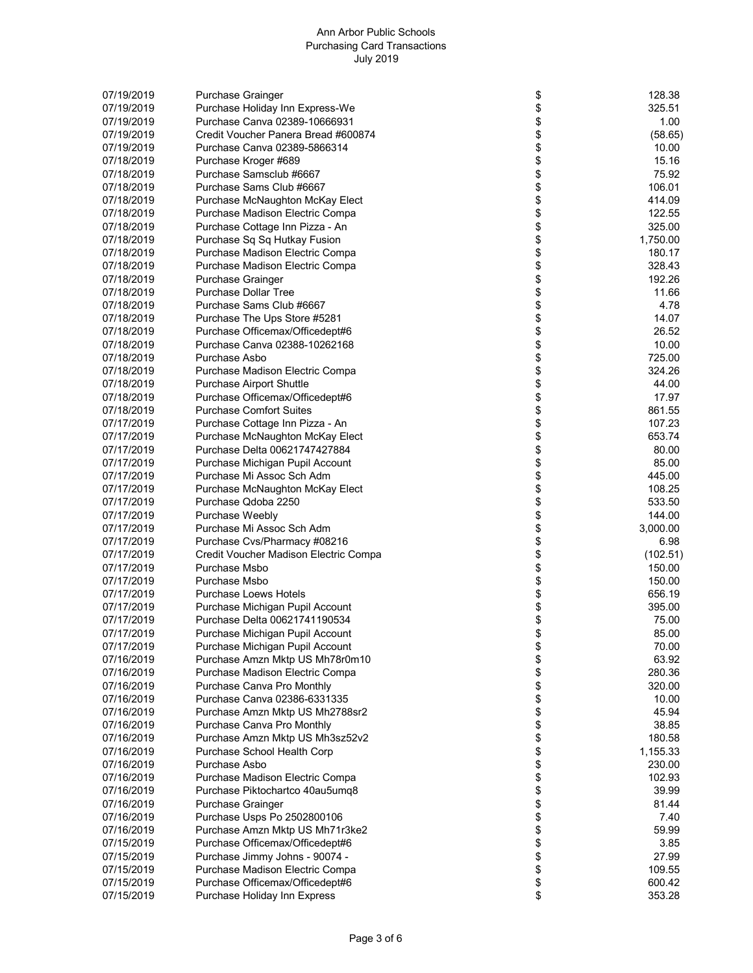| 07/19/2019 | <b>Purchase Grainger</b>              | \$           | 128.38   |
|------------|---------------------------------------|--------------|----------|
|            |                                       |              |          |
| 07/19/2019 | Purchase Holiday Inn Express-We       | \$           | 325.51   |
| 07/19/2019 | Purchase Canva 02389-10666931         | \$           | 1.00     |
| 07/19/2019 | Credit Voucher Panera Bread #600874   | \$           | (58.65)  |
| 07/19/2019 | Purchase Canva 02389-5866314          | \$           | 10.00    |
| 07/18/2019 | Purchase Kroger #689                  | \$           | 15.16    |
| 07/18/2019 | Purchase Samsclub #6667               | \$           | 75.92    |
| 07/18/2019 | Purchase Sams Club #6667              | \$           | 106.01   |
| 07/18/2019 | Purchase McNaughton McKay Elect       | \$           | 414.09   |
| 07/18/2019 | Purchase Madison Electric Compa       |              | 122.55   |
| 07/18/2019 |                                       | \$<br>\$     | 325.00   |
|            | Purchase Cottage Inn Pizza - An       |              |          |
| 07/18/2019 | Purchase Sq Sq Hutkay Fusion          | \$<br>\$     | 1,750.00 |
| 07/18/2019 | Purchase Madison Electric Compa       |              | 180.17   |
| 07/18/2019 | Purchase Madison Electric Compa       | \$           | 328.43   |
| 07/18/2019 | <b>Purchase Grainger</b>              | \$           | 192.26   |
| 07/18/2019 | <b>Purchase Dollar Tree</b>           | \$           | 11.66    |
| 07/18/2019 | Purchase Sams Club #6667              | \$           | 4.78     |
| 07/18/2019 | Purchase The Ups Store #5281          | \$           | 14.07    |
| 07/18/2019 | Purchase Officemax/Officedept#6       | \$           | 26.52    |
| 07/18/2019 | Purchase Canva 02388-10262168         | \$           | 10.00    |
| 07/18/2019 | Purchase Asbo                         |              | 725.00   |
| 07/18/2019 | Purchase Madison Electric Compa       | \$<br>\$     | 324.26   |
| 07/18/2019 | <b>Purchase Airport Shuttle</b>       | \$           | 44.00    |
|            |                                       |              |          |
| 07/18/2019 | Purchase Officemax/Officedept#6       | \$           | 17.97    |
| 07/18/2019 | <b>Purchase Comfort Suites</b>        | \$<br>\$     | 861.55   |
| 07/17/2019 | Purchase Cottage Inn Pizza - An       |              | 107.23   |
| 07/17/2019 | Purchase McNaughton McKay Elect       | \$           | 653.74   |
| 07/17/2019 | Purchase Delta 00621747427884         | \$           | 80.00    |
| 07/17/2019 | Purchase Michigan Pupil Account       | \$           | 85.00    |
| 07/17/2019 | Purchase Mi Assoc Sch Adm             | \$           | 445.00   |
| 07/17/2019 | Purchase McNaughton McKay Elect       |              | 108.25   |
| 07/17/2019 | Purchase Qdoba 2250                   | \$<br>\$     | 533.50   |
| 07/17/2019 | Purchase Weebly                       |              | 144.00   |
| 07/17/2019 | Purchase Mi Assoc Sch Adm             | \$<br>\$     | 3,000.00 |
| 07/17/2019 | Purchase Cvs/Pharmacy #08216          | \$           | 6.98     |
| 07/17/2019 | Credit Voucher Madison Electric Compa | \$           | (102.51) |
| 07/17/2019 | Purchase Msbo                         | \$           | 150.00   |
| 07/17/2019 | Purchase Msbo                         | \$           | 150.00   |
| 07/17/2019 | <b>Purchase Loews Hotels</b>          | \$           | 656.19   |
|            |                                       |              |          |
| 07/17/2019 | Purchase Michigan Pupil Account       | \$           | 395.00   |
| 07/17/2019 | Purchase Delta 00621741190534         | \$           | 75.00    |
| 07/17/2019 | Purchase Michigan Pupil Account       | \$<br>\$     | 85.00    |
| 07/17/2019 | Purchase Michigan Pupil Account       |              | 70.00    |
| 07/16/2019 | Purchase Amzn Mktp US Mh78r0m10       |              | 63.92    |
| 07/16/2019 | Purchase Madison Electric Compa       | \$\$         | 280.36   |
| 07/16/2019 | Purchase Canva Pro Monthly            |              | 320.00   |
| 07/16/2019 | Purchase Canva 02386-6331335          | \$           | 10.00    |
| 07/16/2019 | Purchase Amzn Mktp US Mh2788sr2       | \$           | 45.94    |
| 07/16/2019 | Purchase Canva Pro Monthly            | \$           | 38.85    |
| 07/16/2019 | Purchase Amzn Mktp US Mh3sz52v2       | \$           | 180.58   |
| 07/16/2019 | Purchase School Health Corp           | \$           | 1,155.33 |
| 07/16/2019 | Purchase Asbo                         | \$           | 230.00   |
| 07/16/2019 | Purchase Madison Electric Compa       |              | 102.93   |
| 07/16/2019 | Purchase Piktochartco 40au5umq8       |              | 39.99    |
|            |                                       |              |          |
| 07/16/2019 | <b>Purchase Grainger</b>              |              | 81.44    |
| 07/16/2019 | Purchase Usps Po 2502800106           |              | 7.40     |
| 07/16/2019 | Purchase Amzn Mktp US Mh71r3ke2       | \$\$\$\$\$\$ | 59.99    |
| 07/15/2019 | Purchase Officemax/Officedept#6       |              | 3.85     |
| 07/15/2019 | Purchase Jimmy Johns - 90074 -        | \$           | 27.99    |
| 07/15/2019 | Purchase Madison Electric Compa       | \$           | 109.55   |
| 07/15/2019 | Purchase Officemax/Officedept#6       | \$           | 600.42   |
| 07/15/2019 | Purchase Holiday Inn Express          | \$           | 353.28   |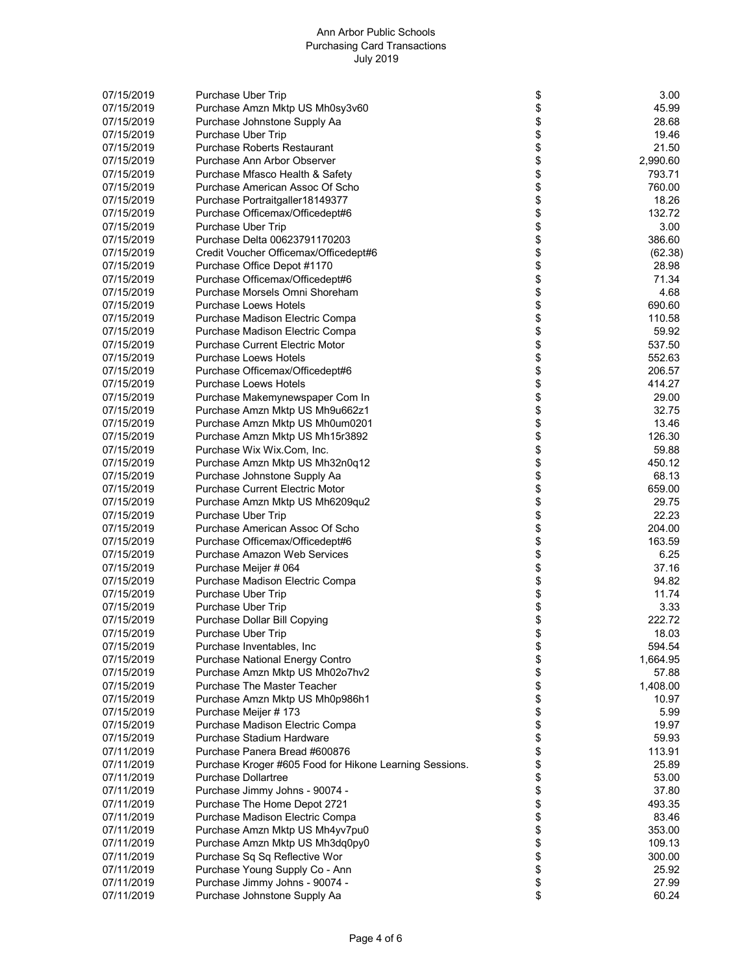| 07/15/2019 | Purchase Uber Trip                                      | \$                 | 3.00     |
|------------|---------------------------------------------------------|--------------------|----------|
| 07/15/2019 | Purchase Amzn Mktp US Mh0sy3v60                         | \$                 | 45.99    |
|            |                                                         |                    |          |
| 07/15/2019 | Purchase Johnstone Supply Aa                            | \$                 | 28.68    |
| 07/15/2019 | Purchase Uber Trip                                      |                    | 19.46    |
| 07/15/2019 | <b>Purchase Roberts Restaurant</b>                      | \$<br>\$           | 21.50    |
|            |                                                         |                    |          |
| 07/15/2019 | Purchase Ann Arbor Observer                             | \$                 | 2,990.60 |
| 07/15/2019 | Purchase Mfasco Health & Safety                         | \$                 | 793.71   |
| 07/15/2019 | Purchase American Assoc Of Scho                         |                    | 760.00   |
|            |                                                         |                    | 18.26    |
| 07/15/2019 | Purchase Portraitgaller18149377                         |                    |          |
| 07/15/2019 | Purchase Officemax/Officedept#6                         |                    | 132.72   |
| 07/15/2019 | Purchase Uber Trip                                      |                    | 3.00     |
| 07/15/2019 | Purchase Delta 00623791170203                           |                    | 386.60   |
|            |                                                         |                    |          |
| 07/15/2019 | Credit Voucher Officemax/Officedept#6                   |                    | (62.38)  |
| 07/15/2019 | Purchase Office Depot #1170                             |                    | 28.98    |
| 07/15/2019 | Purchase Officemax/Officedept#6                         | <b>88888888</b>    | 71.34    |
|            |                                                         |                    |          |
| 07/15/2019 | Purchase Morsels Omni Shoreham                          |                    | 4.68     |
| 07/15/2019 | <b>Purchase Loews Hotels</b>                            | \$                 | 690.60   |
| 07/15/2019 | Purchase Madison Electric Compa                         | \$                 | 110.58   |
|            |                                                         |                    |          |
| 07/15/2019 | Purchase Madison Electric Compa                         |                    | 59.92    |
| 07/15/2019 | <b>Purchase Current Electric Motor</b>                  |                    | 537.50   |
| 07/15/2019 | <b>Purchase Loews Hotels</b>                            | \$\$\$\$\$\$\$\$\$ | 552.63   |
|            |                                                         |                    |          |
| 07/15/2019 | Purchase Officemax/Officedept#6                         |                    | 206.57   |
| 07/15/2019 | <b>Purchase Loews Hotels</b>                            |                    | 414.27   |
| 07/15/2019 | Purchase Makemynewspaper Com In                         |                    | 29.00    |
|            |                                                         |                    |          |
| 07/15/2019 | Purchase Amzn Mktp US Mh9u662z1                         |                    | 32.75    |
| 07/15/2019 | Purchase Amzn Mktp US Mh0um0201                         |                    | 13.46    |
| 07/15/2019 | Purchase Amzn Mktp US Mh15r3892                         |                    | 126.30   |
|            |                                                         |                    |          |
| 07/15/2019 | Purchase Wix Wix.Com, Inc.                              | \$\$\$\$\$\$\$     | 59.88    |
| 07/15/2019 | Purchase Amzn Mktp US Mh32n0q12                         |                    | 450.12   |
| 07/15/2019 | Purchase Johnstone Supply Aa                            |                    | 68.13    |
| 07/15/2019 | <b>Purchase Current Electric Motor</b>                  |                    | 659.00   |
|            |                                                         |                    |          |
| 07/15/2019 | Purchase Amzn Mktp US Mh6209qu2                         |                    | 29.75    |
| 07/15/2019 | Purchase Uber Trip                                      |                    | 22.23    |
| 07/15/2019 | Purchase American Assoc Of Scho                         |                    | 204.00   |
|            |                                                         |                    |          |
| 07/15/2019 | Purchase Officemax/Officedept#6                         | \$                 | 163.59   |
| 07/15/2019 | Purchase Amazon Web Services                            | \$                 | 6.25     |
| 07/15/2019 | Purchase Meijer # 064                                   | \$                 | 37.16    |
|            |                                                         |                    |          |
| 07/15/2019 | Purchase Madison Electric Compa                         | \$                 | 94.82    |
| 07/15/2019 | Purchase Uber Trip                                      |                    | 11.74    |
| 07/15/2019 | Purchase Uber Trip                                      |                    | 3.33     |
|            |                                                         |                    | 222.72   |
| 07/15/2019 | Purchase Dollar Bill Copying                            |                    |          |
| 07/15/2019 | Purchase Uber Trip                                      |                    | 18.03    |
| 07/15/2019 | Purchase Inventables, Inc                               | <b>888888888</b>   | 594.54   |
| 07/15/2019 | <b>Purchase National Energy Contro</b>                  |                    | 1,664.95 |
|            |                                                         |                    |          |
| 07/15/2019 | Purchase Amzn Mktp US Mh02o7hv2                         |                    | 57.88    |
| 07/15/2019 | Purchase The Master Teacher                             |                    | 1,408.00 |
| 07/15/2019 | Purchase Amzn Mktp US Mh0p986h1                         |                    | 10.97    |
|            |                                                         |                    |          |
| 07/15/2019 | Purchase Meijer # 173                                   |                    | 5.99     |
| 07/15/2019 | Purchase Madison Electric Compa                         |                    | 19.97    |
| 07/15/2019 | Purchase Stadium Hardware                               | \$<br>\$           | 59.93    |
|            |                                                         |                    |          |
| 07/11/2019 | Purchase Panera Bread #600876                           | \$                 | 113.91   |
| 07/11/2019 | Purchase Kroger #605 Food for Hikone Learning Sessions. |                    | 25.89    |
| 07/11/2019 | <b>Purchase Dollartree</b>                              |                    | 53.00    |
| 07/11/2019 | Purchase Jimmy Johns - 90074 -                          |                    | 37.80    |
|            |                                                         | <b>88888888</b>    |          |
| 07/11/2019 | Purchase The Home Depot 2721                            |                    | 493.35   |
| 07/11/2019 | Purchase Madison Electric Compa                         |                    | 83.46    |
| 07/11/2019 | Purchase Amzn Mktp US Mh4yv7pu0                         |                    | 353.00   |
|            |                                                         |                    | 109.13   |
| 07/11/2019 | Purchase Amzn Mktp US Mh3dq0py0                         |                    |          |
| 07/11/2019 | Purchase Sq Sq Reflective Wor                           |                    | 300.00   |
| 07/11/2019 | Purchase Young Supply Co - Ann                          | \$                 | 25.92    |
| 07/11/2019 | Purchase Jimmy Johns - 90074 -                          | \$                 | 27.99    |
|            |                                                         |                    |          |
| 07/11/2019 | Purchase Johnstone Supply Aa                            | \$                 | 60.24    |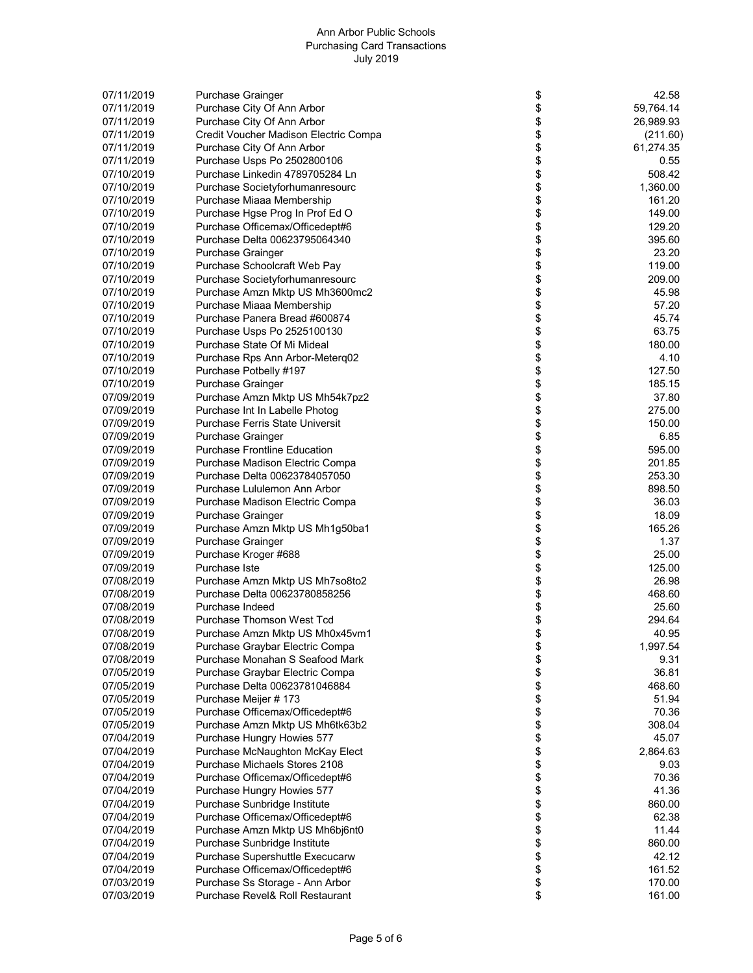| 07/11/2019 | <b>Purchase Grainger</b>               | \$               | 42.58     |
|------------|----------------------------------------|------------------|-----------|
|            |                                        |                  |           |
| 07/11/2019 | Purchase City Of Ann Arbor             | \$               | 59,764.14 |
| 07/11/2019 | Purchase City Of Ann Arbor             | \$               | 26,989.93 |
| 07/11/2019 | Credit Voucher Madison Electric Compa  | \$               | (211.60)  |
| 07/11/2019 | Purchase City Of Ann Arbor             | \$               | 61,274.35 |
| 07/11/2019 | Purchase Usps Po 2502800106            | \$               | 0.55      |
| 07/10/2019 | Purchase Linkedin 4789705284 Ln        | \$               | 508.42    |
| 07/10/2019 |                                        | \$               |           |
|            | Purchase Societyforhumanresourc        |                  | 1,360.00  |
| 07/10/2019 | Purchase Miaaa Membership              | \$               | 161.20    |
| 07/10/2019 | Purchase Hgse Prog In Prof Ed O        | \$\$\$\$\$\$     | 149.00    |
| 07/10/2019 | Purchase Officemax/Officedept#6        |                  | 129.20    |
| 07/10/2019 | Purchase Delta 00623795064340          |                  | 395.60    |
| 07/10/2019 | <b>Purchase Grainger</b>               |                  | 23.20     |
| 07/10/2019 | Purchase Schoolcraft Web Pay           |                  | 119.00    |
| 07/10/2019 | Purchase Societyforhumanresourc        |                  | 209.00    |
|            |                                        |                  |           |
| 07/10/2019 | Purchase Amzn Mktp US Mh3600mc2        | \$               | 45.98     |
| 07/10/2019 | Purchase Miaaa Membership              | \$               | 57.20     |
| 07/10/2019 | Purchase Panera Bread #600874          | \$               | 45.74     |
| 07/10/2019 | Purchase Usps Po 2525100130            | \$               | 63.75     |
| 07/10/2019 | Purchase State Of Mi Mideal            |                  | 180.00    |
| 07/10/2019 | Purchase Rps Ann Arbor-Meterq02        |                  | 4.10      |
| 07/10/2019 | Purchase Potbelly #197                 | <b>88888888</b>  | 127.50    |
|            |                                        |                  | 185.15    |
| 07/10/2019 | <b>Purchase Grainger</b>               |                  |           |
| 07/09/2019 | Purchase Amzn Mktp US Mh54k7pz2        |                  | 37.80     |
| 07/09/2019 | Purchase Int In Labelle Photog         |                  | 275.00    |
| 07/09/2019 | <b>Purchase Ferris State Universit</b> |                  | 150.00    |
| 07/09/2019 | Purchase Grainger                      |                  | 6.85      |
| 07/09/2019 | <b>Purchase Frontline Education</b>    | \$               | 595.00    |
| 07/09/2019 | Purchase Madison Electric Compa        |                  | 201.85    |
| 07/09/2019 | Purchase Delta 00623784057050          |                  | 253.30    |
|            |                                        | \$\$\$\$\$\$\$   |           |
| 07/09/2019 | Purchase Lululemon Ann Arbor           |                  | 898.50    |
| 07/09/2019 | Purchase Madison Electric Compa        |                  | 36.03     |
| 07/09/2019 | Purchase Grainger                      |                  | 18.09     |
| 07/09/2019 | Purchase Amzn Mktp US Mh1g50ba1        |                  | 165.26    |
| 07/09/2019 | Purchase Grainger                      |                  | 1.37      |
| 07/09/2019 | Purchase Kroger #688                   | \$               | 25.00     |
| 07/09/2019 | Purchase Iste                          | \$               | 125.00    |
| 07/08/2019 | Purchase Amzn Mktp US Mh7so8to2        | \$               | 26.98     |
|            |                                        |                  |           |
| 07/08/2019 | Purchase Delta 00623780858256          | \$               | 468.60    |
| 07/08/2019 | Purchase Indeed                        | \$               | 25.60     |
| 07/08/2019 | <b>Purchase Thomson West Tcd</b>       | \$               | 294.64    |
| 07/08/2019 | Purchase Amzn Mktp US Mh0x45vm1        |                  | 40.95     |
| 07/08/2019 | Purchase Graybar Electric Compa        | \$\$\$\$\$\$\$   | 1,997.54  |
| 07/08/2019 | Purchase Monahan S Seafood Mark        |                  | 9.31      |
| 07/05/2019 | Purchase Graybar Electric Compa        |                  | 36.81     |
| 07/05/2019 | Purchase Delta 00623781046884          |                  | 468.60    |
|            |                                        |                  |           |
| 07/05/2019 | Purchase Meijer # 173                  |                  | 51.94     |
| 07/05/2019 | Purchase Officemax/Officedept#6        |                  | 70.36     |
| 07/05/2019 | Purchase Amzn Mktp US Mh6tk63b2        | \$               | 308.04    |
| 07/04/2019 | Purchase Hungry Howies 577             | \$               | 45.07     |
| 07/04/2019 | Purchase McNaughton McKay Elect        | \$               | 2,864.63  |
| 07/04/2019 | Purchase Michaels Stores 2108          |                  | 9.03      |
| 07/04/2019 | Purchase Officemax/Officedept#6        |                  | 70.36     |
| 07/04/2019 | Purchase Hungry Howies 577             |                  | 41.36     |
|            |                                        |                  |           |
| 07/04/2019 | Purchase Sunbridge Institute           |                  | 860.00    |
| 07/04/2019 | Purchase Officemax/Officedept#6        | \$\$\$\$\$\$\$\$ | 62.38     |
| 07/04/2019 | Purchase Amzn Mktp US Mh6bj6nt0        |                  | 11.44     |
| 07/04/2019 | Purchase Sunbridge Institute           |                  | 860.00    |
| 07/04/2019 | Purchase Supershuttle Execucarw        |                  | 42.12     |
| 07/04/2019 | Purchase Officemax/Officedept#6        | \$               | 161.52    |
| 07/03/2019 | Purchase Ss Storage - Ann Arbor        | \$               | 170.00    |
| 07/03/2019 | Purchase Revel& Roll Restaurant        | \$               | 161.00    |
|            |                                        |                  |           |